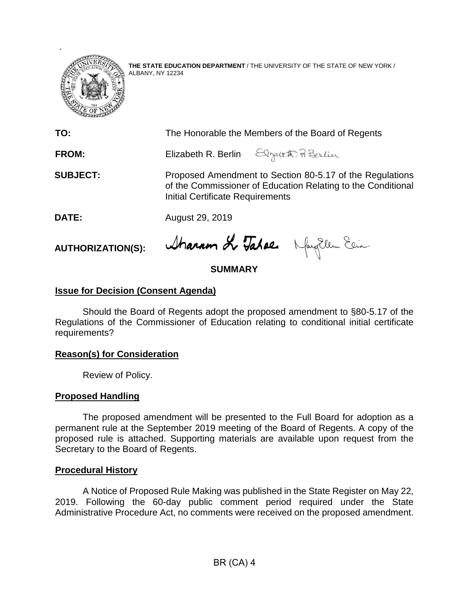

**THE STATE EDUCATION DEPARTMENT** / THE UNIVERSITY OF THE STATE OF NEW YORK / ALBANY, NY 12234

| TO:             | The Honorable the Members of the Board of Regents                                                                                                            |                                        |
|-----------------|--------------------------------------------------------------------------------------------------------------------------------------------------------------|----------------------------------------|
| <b>FROM:</b>    |                                                                                                                                                              | Elizabeth R. Berlin Elgateth Pi Berlin |
| <b>SUBJECT:</b> | Proposed Amendment to Section 80-5.17 of the Regulations<br>of the Commissioner of Education Relating to the Conditional<br>Initial Certificate Requirements |                                        |
| DATE:           | August 29, 2019                                                                                                                                              |                                        |
|                 |                                                                                                                                                              |                                        |

**AUTHORIZATION(S):**

Sharron & Tahae. Naythen Ein

# **SUMMARY**

# **Issue for Decision (Consent Agenda)**

Should the Board of Regents adopt the proposed amendment to §80-5.17 of the Regulations of the Commissioner of Education relating to conditional initial certificate requirements?

## **Reason(s) for Consideration**

Review of Policy.

## **Proposed Handling**

The proposed amendment will be presented to the Full Board for adoption as a permanent rule at the September 2019 meeting of the Board of Regents. A copy of the proposed rule is attached. Supporting materials are available upon request from the Secretary to the Board of Regents.

## **Procedural History**

A Notice of Proposed Rule Making was published in the State Register on May 22, 2019. Following the 60-day public comment period required under the State Administrative Procedure Act, no comments were received on the proposed amendment.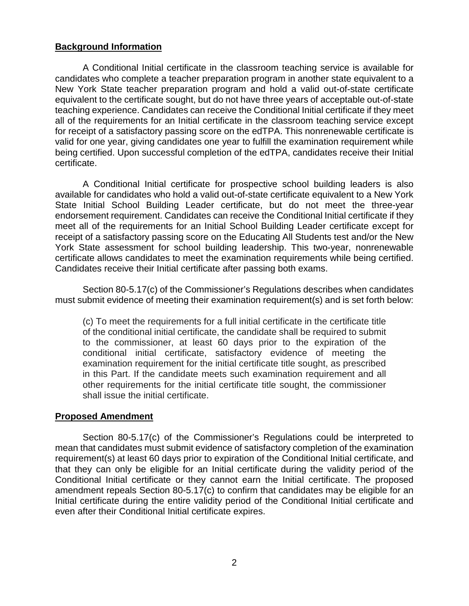# **Background Information**

A Conditional Initial certificate in the classroom teaching service is available for candidates who complete a teacher preparation program in another state equivalent to a New York State teacher preparation program and hold a valid out-of-state certificate equivalent to the certificate sought, but do not have three years of acceptable out-of-state teaching experience. Candidates can receive the Conditional Initial certificate if they meet all of the requirements for an Initial certificate in the classroom teaching service except for receipt of a satisfactory passing score on the edTPA. This nonrenewable certificate is valid for one year, giving candidates one year to fulfill the examination requirement while being certified. Upon successful completion of the edTPA, candidates receive their Initial certificate.

A Conditional Initial certificate for prospective school building leaders is also available for candidates who hold a valid out-of-state certificate equivalent to a New York State Initial School Building Leader certificate, but do not meet the three-year endorsement requirement. Candidates can receive the Conditional Initial certificate if they meet all of the requirements for an Initial School Building Leader certificate except for receipt of a satisfactory passing score on the Educating All Students test and/or the New York State assessment for school building leadership. This two-year, nonrenewable certificate allows candidates to meet the examination requirements while being certified. Candidates receive their Initial certificate after passing both exams.

Section 80-5.17(c) of the Commissioner's Regulations describes when candidates must submit evidence of meeting their examination requirement(s) and is set forth below:

(c) To meet the requirements for a full initial certificate in the certificate title of the conditional initial certificate, the candidate shall be required to submit to the commissioner, at least 60 days prior to the expiration of the conditional initial certificate, satisfactory evidence of meeting the examination requirement for the initial certificate title sought, as prescribed in this Part. If the candidate meets such examination requirement and all other requirements for the initial certificate title sought, the commissioner shall issue the initial certificate.

## **Proposed Amendment**

Section 80-5.17(c) of the Commissioner's Regulations could be interpreted to mean that candidates must submit evidence of satisfactory completion of the examination requirement(s) at least 60 days prior to expiration of the Conditional Initial certificate, and that they can only be eligible for an Initial certificate during the validity period of the Conditional Initial certificate or they cannot earn the Initial certificate. The proposed amendment repeals Section 80-5.17(c) to confirm that candidates may be eligible for an Initial certificate during the entire validity period of the Conditional Initial certificate and even after their Conditional Initial certificate expires.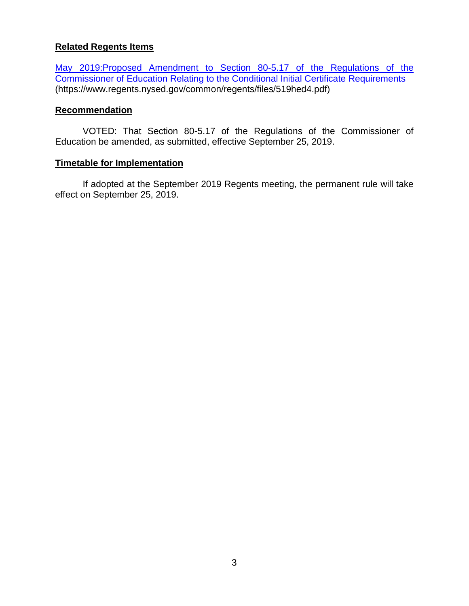# **Related Regents Items**

May 2019:Proposed [Amendment to Section 80-5.17 of the Regulations of the](https://www.regents.nysed.gov/common/regents/files/519hed4.pdf)  [Commissioner of Education Relating to the Conditional Initial Certificate Requirements](https://www.regents.nysed.gov/common/regents/files/519hed4.pdf) (https://www.regents.nysed.gov/common/regents/files/519hed4.pdf)

#### **Recommendation**

VOTED: That Section 80-5.17 of the Regulations of the Commissioner of Education be amended, as submitted, effective September 25, 2019.

#### **Timetable for Implementation**

If adopted at the September 2019 Regents meeting, the permanent rule will take effect on September 25, 2019.